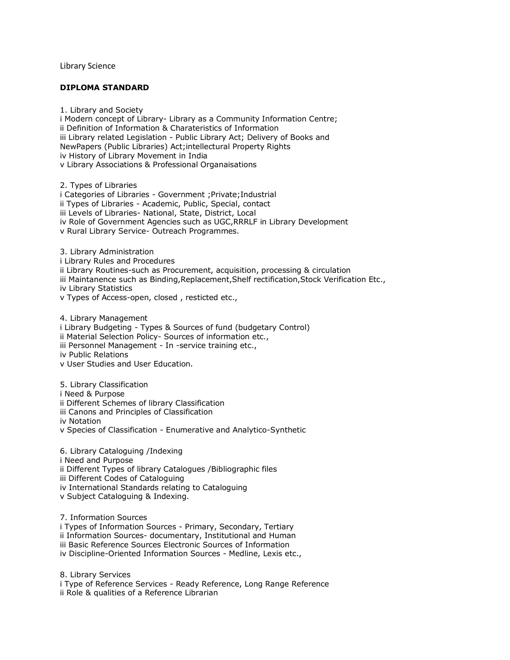Library Science

## **DIPLOMA STANDARD**

1. Library and Society i Modern concept of Library- Library as a Community Information Centre; ii Definition of Information & Charateristics of Information iii Library related Legislation - Public Library Act; Delivery of Books and NewPapers (Public Libraries) Act;intellectural Property Rights iv History of Library Movement in India v Library Associations & Professional Organaisations

2. Types of Libraries i Categories of Libraries - Government ;Private;Industrial ii Types of Libraries - Academic, Public, Special, contact iii Levels of Libraries- National, State, District, Local iv Role of Government Agencies such as UGC,RRRLF in Library Development v Rural Library Service- Outreach Programmes.

3. Library Administration i Library Rules and Procedures ii Library Routines-such as Procurement, acquisition, processing & circulation iii Maintanence such as Binding,Replacement,Shelf rectification,Stock Verification Etc., iv Library Statistics v Types of Access-open, closed , resticted etc.,

4. Library Management i Library Budgeting - Types & Sources of fund (budgetary Control) ii Material Selection Policy- Sources of information etc., iii Personnel Management - In -service training etc., iv Public Relations v User Studies and User Education.

5. Library Classification i Need & Purpose ii Different Schemes of library Classification iii Canons and Principles of Classification iv Notation v Species of Classification - Enumerative and Analytico-Synthetic

6. Library Cataloguing /Indexing i Need and Purpose ii Different Types of library Catalogues /Bibliographic files iii Different Codes of Cataloguing iv International Standards relating to Cataloguing v Subject Cataloguing & Indexing.

7. Information Sources

i Types of Information Sources - Primary, Secondary, Tertiary ii Information Sources- documentary, Institutional and Human iii Basic Reference Sources Electronic Sources of Information iv Discipline-Oriented Information Sources - Medline, Lexis etc.,

8. Library Services i Type of Reference Services - Ready Reference, Long Range Reference ii Role & qualities of a Reference Librarian